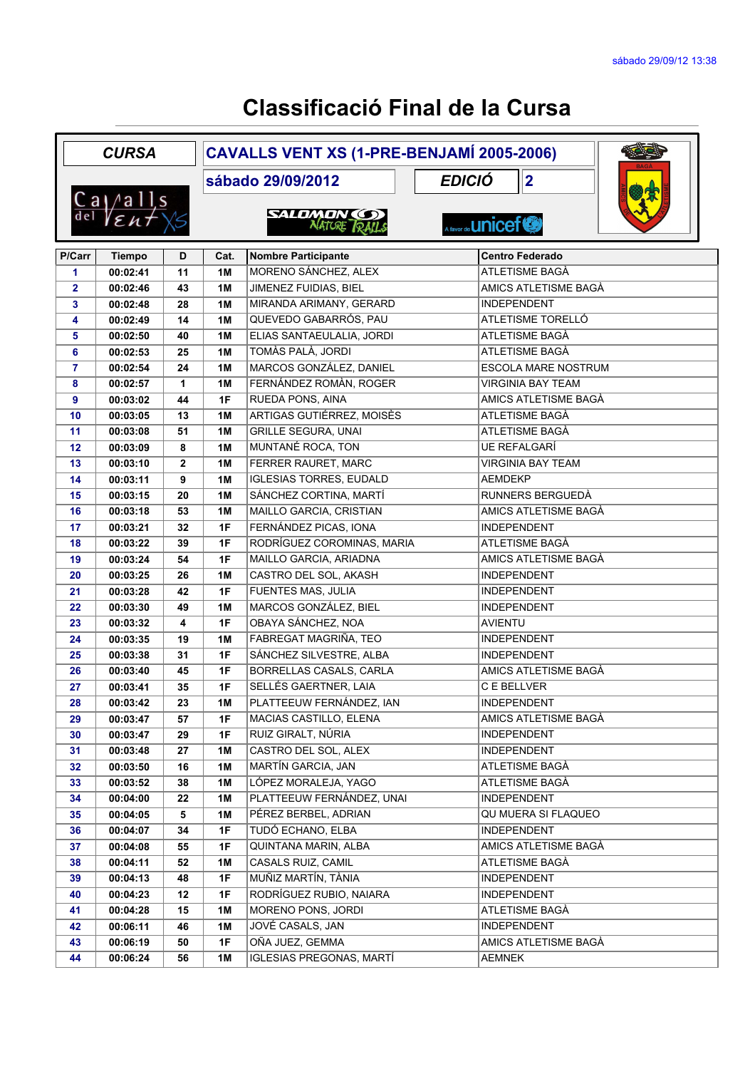|                | <b>CURSA</b>                                                                              |              |                                    | CAVALLS VENT XS (1-PRE-BENJAMÍ 2005-2006) |                            |                             |  |  |  |
|----------------|-------------------------------------------------------------------------------------------|--------------|------------------------------------|-------------------------------------------|----------------------------|-----------------------------|--|--|--|
|                |                                                                                           |              | <b>EDICIÓ</b><br>sábado 29/09/2012 |                                           |                            | 2                           |  |  |  |
|                | $\frac{\text{Ca}}{\text{del}}$ $\frac{\text{a} \text{lls}}{\text{E} \text{u} + \text{L}}$ |              |                                    | <b>SALDMON (C)</b><br>NATURE RAILS        | A favor de <b>LINICEF®</b> |                             |  |  |  |
| P/Carr         | <b>Tiempo</b>                                                                             | D            | Cat.                               | <b>Nombre Participante</b>                |                            | <b>Centro Federado</b>      |  |  |  |
| 1              | 00:02:41                                                                                  | 11           | 1M                                 | MORENO SÁNCHEZ, ALEX                      |                            | ATLETISME BAGÀ              |  |  |  |
| $\mathbf{2}$   | 00:02:46                                                                                  | 43           | 1M                                 | JIMENEZ FUIDIAS, BIEL                     |                            | AMICS ATLETISME BAGÀ        |  |  |  |
| 3              | 00:02:48                                                                                  | 28           | <b>1M</b>                          | MIRANDA ARIMANY, GERARD                   |                            | <b>INDEPENDENT</b>          |  |  |  |
| 4              | 00:02:49                                                                                  | 14           | 1M                                 | QUEVEDO GABARRÓS, PAU                     |                            | ATLETISME TORELLÓ           |  |  |  |
| 5              | 00:02:50                                                                                  | 40           | 1M                                 | ELIAS SANTAEULALIA, JORDI                 |                            | ATLETISME BAGÀ              |  |  |  |
| 6              | 00:02:53                                                                                  | 25           | 1M                                 | <b>TOMÀS PALÀ, JORDI</b>                  |                            | ATLETISME BAGÀ              |  |  |  |
| $\overline{7}$ | 00:02:54                                                                                  | 24           | 1M                                 | MARCOS GONZÁLEZ, DANIEL                   |                            | ESCOLA MARE NOSTRUM         |  |  |  |
| 8              | 00:02:57                                                                                  | $\mathbf{1}$ | <b>1M</b>                          | FERNÁNDEZ ROMÀN, ROGER                    |                            | <b>VIRGINIA BAY TEAM</b>    |  |  |  |
| 9              | 00:03:02                                                                                  | 44           | 1F                                 | RUEDA PONS, AINA                          |                            | <b>AMICS ATLETISME BAGÀ</b> |  |  |  |
| 10             | 00:03:05                                                                                  | 13           | <b>1M</b>                          | ARTIGAS GUTIÉRREZ, MOISÈS                 |                            | ATLETISME BAGÀ              |  |  |  |
| 11             | 00:03:08                                                                                  | 51           | <b>1M</b>                          | <b>GRILLE SEGURA, UNAI</b>                |                            | ATLETISME BAGÀ              |  |  |  |
| 12             | 00:03:09                                                                                  | 8            | <b>1M</b>                          | MUNTANÉ ROCA, TON                         |                            | <b>UE REFALGARÍ</b>         |  |  |  |
| 13             | 00:03:10                                                                                  | $\mathbf{2}$ | 1M                                 | FERRER RAURET, MARC                       |                            | <b>VIRGINIA BAY TEAM</b>    |  |  |  |
| 14             | 00:03:11                                                                                  | 9            | <b>1M</b>                          | <b>IGLESIAS TORRES, EUDALD</b>            |                            | <b>AEMDEKP</b>              |  |  |  |
| 15             | 00:03:15                                                                                  | 20           | 1M                                 | SÁNCHEZ CORTINA, MARTÍ                    |                            | RUNNERS BERGUEDÀ            |  |  |  |
| 16             | 00:03:18                                                                                  | 53           | <b>1M</b>                          | MAILLO GARCIA, CRISTIAN                   |                            | AMICS ATLETISME BAGÀ        |  |  |  |
| 17             | 00:03:21                                                                                  | 32           | 1F                                 | FERNÁNDEZ PICAS, IONA                     |                            | <b>INDEPENDENT</b>          |  |  |  |
| 18             | 00:03:22                                                                                  | 39           | 1F                                 | RODRÍGUEZ COROMINAS, MARIA                |                            | ATLETISME BAGÀ              |  |  |  |
| 19             | 00:03:24                                                                                  | 54           | 1F                                 | MAILLO GARCIA, ARIADNA                    |                            | AMICS ATLETISME BAGÀ        |  |  |  |
| 20             | 00:03:25                                                                                  | 26           | 1M                                 | CASTRO DEL SOL, AKASH                     |                            | <b>INDEPENDENT</b>          |  |  |  |
| 21             | 00:03:28                                                                                  | 42           | 1F                                 | <b>FUENTES MAS, JULIA</b>                 |                            | <b>INDEPENDENT</b>          |  |  |  |
| 22             | 00:03:30                                                                                  | 49           | <b>1M</b>                          | MARCOS GONZÁLEZ, BIEL                     |                            | <b>INDEPENDENT</b>          |  |  |  |
| 23             | 00:03:32                                                                                  | 4            | 1F                                 | OBAYA SÁNCHEZ, NOA                        |                            | <b>AVIENTU</b>              |  |  |  |
| 24             | 00:03:35                                                                                  | 19           | 1M                                 | FABREGAT MAGRIÑA, TEO                     |                            | <b>INDEPENDENT</b>          |  |  |  |
| 25             | 00:03:38                                                                                  | 31           | 1F                                 | SÁNCHEZ SILVESTRE, ALBA                   |                            | <b>INDEPENDENT</b>          |  |  |  |
| 26             | 00:03:40                                                                                  | 45           | 1F                                 | BORRELLAS CASALS, CARLA                   |                            | AMICS ATLETISME BAGÀ        |  |  |  |
| 27             | 00:03:41                                                                                  | 35           | 1F                                 | SELLÉS GAERTNER, LAIA                     |                            | C E BELLVER                 |  |  |  |
| 28             | 00:03:42                                                                                  | 23           | <b>1M</b>                          | PLATTEEUW FERNÁNDEZ, IAN                  |                            | <b>INDEPENDENT</b>          |  |  |  |
| 29             | 00:03:47                                                                                  | 57           | 1F                                 | MACIAS CASTILLO, ELENA                    |                            | AMICS ATLETISME BAGÀ        |  |  |  |
| 30             | 00:03:47                                                                                  | 29           | 1F                                 | RUIZ GIRALT, NÚRIA                        |                            | <b>INDEPENDENT</b>          |  |  |  |
| 31             | 00:03:48                                                                                  | 27           | 1M                                 | CASTRO DEL SOL, ALEX                      |                            | <b>INDEPENDENT</b>          |  |  |  |
| 32             | 00:03:50                                                                                  | 16           | 1M                                 | <b>MARTÍN GARCIA, JAN</b>                 |                            | ATLETISME BAGA              |  |  |  |
| 33             | 00:03:52                                                                                  | 38           | 1M                                 | LÓPEZ MORALEJA, YAGO                      |                            | ATLETISME BAGÀ              |  |  |  |
| 34             | 00:04:00                                                                                  | 22           | 1M                                 | PLATTEEUW FERNÁNDEZ, UNAI                 |                            | INDEPENDENT                 |  |  |  |
| 35             | 00:04:05                                                                                  | 5            | 1M                                 | PÉREZ BERBEL, ADRIAN                      |                            | QU MUERA SI FLAQUEO         |  |  |  |
| 36             | 00:04:07                                                                                  | 34           | 1F                                 | TUDÓ ECHANO, ELBA                         |                            | <b>INDEPENDENT</b>          |  |  |  |
| 37             | 00:04:08                                                                                  | 55           | 1F                                 | QUINTANA MARIN, ALBA                      |                            | AMICS ATLETISME BAGÀ        |  |  |  |
| 38             | 00:04:11                                                                                  | 52           | 1M                                 | CASALS RUIZ, CAMIL                        |                            | ATLETISME BAGÀ              |  |  |  |
| 39             | 00:04:13                                                                                  | 48           | 1F                                 | MUÑIZ MARTÍN, TÀNIA                       |                            | <b>INDEPENDENT</b>          |  |  |  |
| 40             | 00:04:23                                                                                  | 12           | 1F                                 | RODRÍGUEZ RUBIO, NAIARA                   |                            | <b>INDEPENDENT</b>          |  |  |  |
| 41             | 00:04:28                                                                                  | 15           | 1M                                 | MORENO PONS, JORDI                        |                            | ATLETISME BAGÀ              |  |  |  |
| 42             | 00:06:11                                                                                  | 46           | 1M                                 | JOVÉ CASALS, JAN                          |                            | <b>INDEPENDENT</b>          |  |  |  |
| 43             | 00:06:19                                                                                  | 50           | 1F                                 | OÑA JUEZ, GEMMA                           |                            | AMICS ATLETISME BAGÀ        |  |  |  |
| 44             | 00:06:24                                                                                  | 56           | 1M                                 | IGLESIAS PREGONAS, MARTÍ                  |                            | <b>AEMNEK</b>               |  |  |  |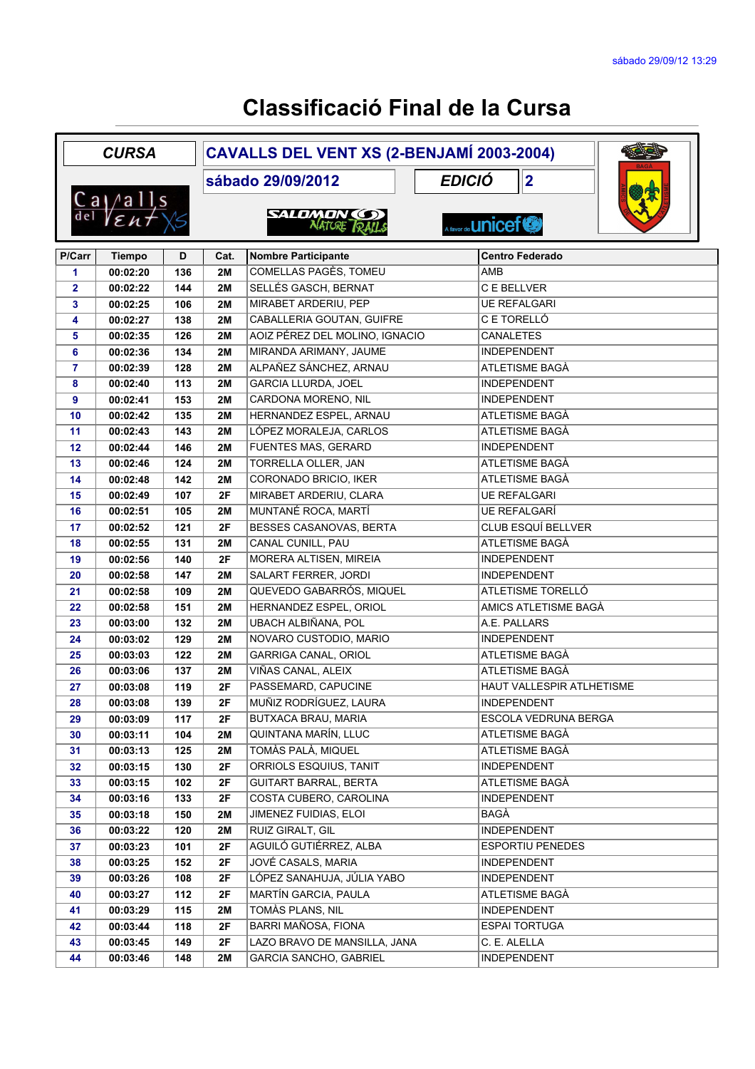| <b>CURSA</b> |                                                                                           |     | CAVALLS DEL VENT XS (2-BENJAMÍ 2003-2004) |                                           |                            |  |  |
|--------------|-------------------------------------------------------------------------------------------|-----|-------------------------------------------|-------------------------------------------|----------------------------|--|--|
|              |                                                                                           |     |                                           | sábado 29/09/2012                         | <b>EDICIÓ</b><br> 2        |  |  |
|              | $\frac{\text{Ca}}{\text{del}}$ $\frac{\text{a} \text{lls}}{\text{E} \text{h} + \text{L}}$ |     |                                           |                                           |                            |  |  |
|              |                                                                                           |     |                                           | <b>SALDMON COD</b><br><b>NATURE RAILS</b> | A favor de <b>LINICEF®</b> |  |  |
| P/Carr       | <b>Tiempo</b>                                                                             | D   | Cat.                                      | <b>Nombre Participante</b>                | <b>Centro Federado</b>     |  |  |
| 1            | 00:02:20                                                                                  | 136 | <b>2M</b>                                 | <b>COMELLAS PAGÈS, TOMEU</b>              | AMB                        |  |  |
| $\mathbf{2}$ | 00:02:22                                                                                  | 144 | 2M                                        | SELLÉS GASCH, BERNAT                      | C E BELLVER                |  |  |
| 3            | 00:02:25                                                                                  | 106 | <b>2M</b>                                 | MIRABET ARDERIU, PEP                      | <b>UE REFALGARI</b>        |  |  |
| 4            | 00:02:27                                                                                  | 138 | 2M                                        | CABALLERIA GOUTAN, GUIFRE                 | C E TORELLÓ                |  |  |
| 5            | 00:02:35                                                                                  | 126 | 2M                                        | AOIZ PÉREZ DEL MOLINO, IGNACIO            | <b>CANALETES</b>           |  |  |
| 6            | 00:02:36                                                                                  | 134 | 2M                                        | MIRANDA ARIMANY, JAUME                    | <b>INDEPENDENT</b>         |  |  |
| 7            | 00:02:39                                                                                  | 128 | 2M                                        | ALPAÑEZ SÁNCHEZ, ARNAU                    | ATLETISME BAGÀ             |  |  |
| 8            | 00:02:40                                                                                  | 113 | 2M                                        | <b>GARCIA LLURDA, JOEL</b>                | <b>INDEPENDENT</b>         |  |  |
| 9            | 00:02:41                                                                                  | 153 | 2M                                        | CARDONA MORENO, NIL                       | <b>INDEPENDENT</b>         |  |  |
| 10           | 00:02:42                                                                                  | 135 | <b>2M</b>                                 | HERNANDEZ ESPEL, ARNAU                    | ATLETISME BAGÀ             |  |  |
| 11           | 00:02:43                                                                                  | 143 | <b>2M</b>                                 | LÓPEZ MORALEJA, CARLOS                    | ATLETISME BAGÀ             |  |  |
| 12           | 00:02:44                                                                                  | 146 | 2M                                        | <b>FUENTES MAS, GERARD</b>                | <b>INDEPENDENT</b>         |  |  |
| 13           | 00:02:46                                                                                  | 124 | <b>2M</b>                                 | TORRELLA OLLER, JAN                       | ATLETISME BAGÀ             |  |  |
| 14           | 00:02:48                                                                                  | 142 | <b>2M</b>                                 | <b>CORONADO BRICIO, IKER</b>              | ATLETISME BAGÀ             |  |  |
| 15           | 00:02:49                                                                                  | 107 | 2F                                        | MIRABET ARDERIU, CLARA                    | <b>UE REFALGARI</b>        |  |  |
| 16           | 00:02:51                                                                                  | 105 | 2M                                        | MUNTANÉ ROCA, MARTÍ                       | <b>UE REFALGARÍ</b>        |  |  |
| 17           | 00:02:52                                                                                  | 121 | 2F                                        | <b>BESSES CASANOVAS, BERTA</b>            | <b>CLUB ESQUÍ BELLVER</b>  |  |  |
| 18           | 00:02:55                                                                                  | 131 | 2M                                        | CANAL CUNILL, PAU                         | ATLETISME BAGÀ             |  |  |
| 19           | 00:02:56                                                                                  | 140 | 2F                                        | MORERA ALTISEN, MIREIA                    | <b>INDEPENDENT</b>         |  |  |
| 20           | 00:02:58                                                                                  | 147 | 2M                                        | SALART FERRER, JORDI                      | <b>INDEPENDENT</b>         |  |  |
| 21           | 00:02:58                                                                                  | 109 | <b>2M</b>                                 | QUEVEDO GABARRÓS, MIQUEL                  | ATLETISME TORELLÓ          |  |  |
| 22           | 00:02:58                                                                                  | 151 | <b>2M</b>                                 | HERNANDEZ ESPEL, ORIOL                    | AMICS ATLETISME BAGÀ       |  |  |
| 23           | 00:03:00                                                                                  | 132 | 2M                                        | UBACH ALBIÑANA, POL                       | A.E. PALLARS               |  |  |
| 24           | 00:03:02                                                                                  | 129 | 2M                                        | NOVARO CUSTODIO, MARIO                    | <b>INDEPENDENT</b>         |  |  |
| 25           | 00:03:03                                                                                  | 122 | 2M                                        | <b>GARRIGA CANAL, ORIOL</b>               | ATLETISME BAGÀ             |  |  |
| 26           | 00:03:06                                                                                  | 137 | <b>2M</b>                                 | VIÑAS CANAL, ALEIX                        | ATLETISME BAGÀ             |  |  |
| 27           | 00:03:08                                                                                  | 119 | 2F                                        | PASSEMARD, CAPUCINE                       | HAUT VALLESPIR ATLHETISME  |  |  |
| 28           | 00:03:08                                                                                  | 139 | 2F                                        | MUÑIZ RODRÍGUEZ, LAURA                    | INDEPENDENT                |  |  |
| 29           | 00:03:09                                                                                  | 117 | 2F                                        | BUTXACA BRAU, MARIA                       | ESCOLA VEDRUNA BERGA       |  |  |
| 30           | 00:03:11                                                                                  | 104 | 2M                                        | QUINTANA MARÍN, LLUC                      | ATLETISME BAGÀ             |  |  |
| 31           | 00:03:13                                                                                  | 125 | 2M                                        | TOMÀS PALÀ, MIQUEL                        | ATLETISME BAGÀ             |  |  |
| 32           | 00:03:15                                                                                  | 130 | 2F                                        | ORRIOLS ESQUIUS, TANIT                    | <b>INDEPENDENT</b>         |  |  |
| 33           | 00:03:15                                                                                  | 102 | 2F                                        | <b>GUITART BARRAL, BERTA</b>              | ATLETISME BAGÀ             |  |  |
| 34           | 00:03:16                                                                                  | 133 | 2F                                        | COSTA CUBERO, CAROLINA                    | INDEPENDENT                |  |  |
| 35           | 00:03:18                                                                                  | 150 | 2M                                        | JIMENEZ FUIDIAS, ELOI                     | BAGÀ                       |  |  |
| 36           | 00:03:22                                                                                  | 120 | 2M                                        | RUIZ GIRALT, GIL                          | <b>INDEPENDENT</b>         |  |  |
| 37           | 00:03:23                                                                                  | 101 | 2F                                        | AGUILÓ GUTIÉRREZ, ALBA                    | <b>ESPORTIU PENEDES</b>    |  |  |
| 38           | 00:03:25                                                                                  | 152 | 2F                                        | JOVÉ CASALS, MARIA                        | <b>INDEPENDENT</b>         |  |  |
| 39           | 00:03:26                                                                                  | 108 | 2F                                        | LÓPEZ SANAHUJA, JÚLIA YABO                | <b>INDEPENDENT</b>         |  |  |
| 40           | 00:03:27                                                                                  | 112 | 2F                                        | MARTÍN GARCIA, PAULA                      | ATLETISME BAGÀ             |  |  |
| 41           | 00:03:29                                                                                  | 115 | 2M                                        | TOMÀS PLANS, NIL                          | <b>INDEPENDENT</b>         |  |  |
| 42           | 00:03:44                                                                                  | 118 | 2F                                        | BARRI MAÑOSA, FIONA                       | <b>ESPAI TORTUGA</b>       |  |  |
| 43           | 00:03:45                                                                                  | 149 | 2F                                        | LAZO BRAVO DE MANSILLA, JANA              | C. E. ALELLA               |  |  |
| 44           | 00:03:46                                                                                  | 148 | 2M                                        | GARCIA SANCHO, GABRIEL                    | INDEPENDENT                |  |  |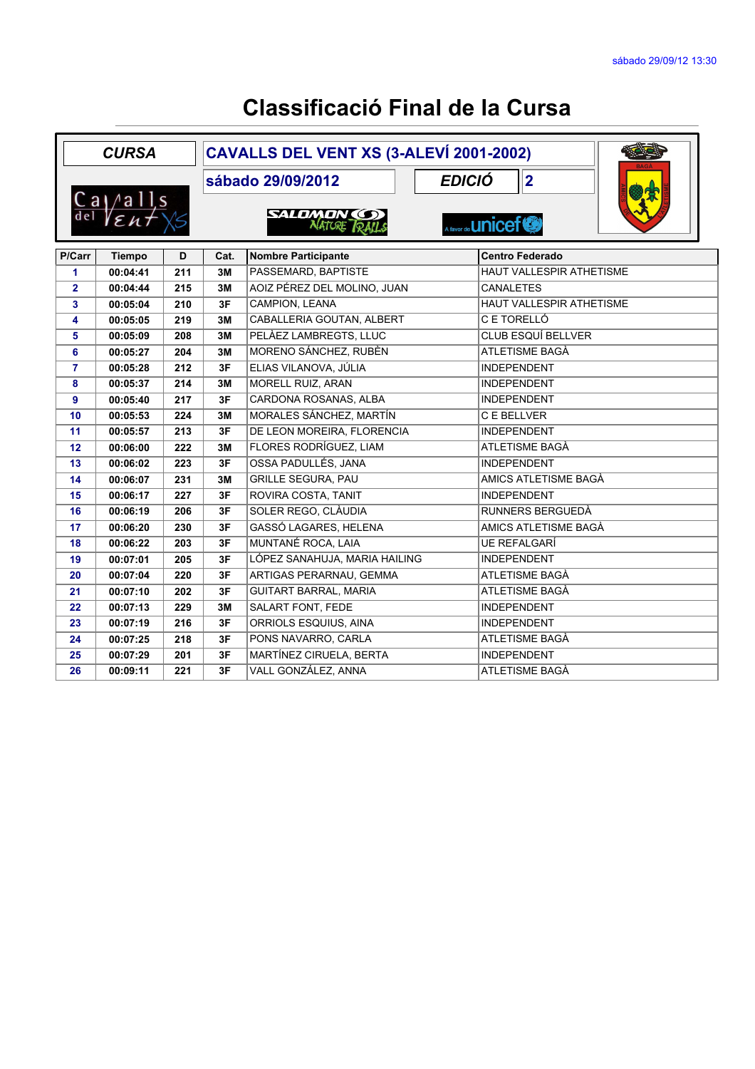|                | <b>CURSA</b>                                                |     |                                    | CAVALLS DEL VENT XS (3-ALEVÍ 2001-2002)    |  |                           |  |  |
|----------------|-------------------------------------------------------------|-----|------------------------------------|--------------------------------------------|--|---------------------------|--|--|
|                |                                                             |     | <b>EDICIÓ</b><br>sábado 29/09/2012 |                                            |  | 2                         |  |  |
|                | $\frac{\text{Ca}}{\text{del}}$ $\frac{\text{Ca}}{\text{E}}$ |     |                                    | <b>SALDMON (S)</b><br><b>NATURE TO ALL</b> |  | A favor de <b>UNICEF®</b> |  |  |
| P/Carr         | <b>Tiempo</b>                                               | D   | Cat.                               | <b>Nombre Participante</b>                 |  | <b>Centro Federado</b>    |  |  |
| 1              | 00:04:41                                                    | 211 | 3M                                 | PASSEMARD, BAPTISTE                        |  | HAUT VALLESPIR ATHETISME  |  |  |
| $\overline{2}$ | 00:04:44                                                    | 215 | 3M                                 | AOIZ PÉREZ DEL MOLINO, JUAN                |  | <b>CANALETES</b>          |  |  |
| 3              | 00:05:04                                                    | 210 | 3F                                 | CAMPION, LEANA                             |  | HAUT VALLESPIR ATHETISME  |  |  |
| 4              | 00:05:05                                                    | 219 | 3M                                 | CABALLERIA GOUTAN, ALBERT                  |  | C E TORELLÓ               |  |  |
| 5              | 00:05:09                                                    | 208 | 3M                                 | PELÀEZ LAMBREGTS, LLUC                     |  | <b>CLUB ESQUÍ BELLVER</b> |  |  |
| 6              | 00:05:27                                                    | 204 | 3M                                 | MORENO SÁNCHEZ, RUBÈN                      |  | ATLETISME BAGÀ            |  |  |
| $\overline{7}$ | 00:05:28                                                    | 212 | 3F                                 | ELIAS VILANOVA, JÚLIA                      |  | <b>INDEPENDENT</b>        |  |  |
| 8              | 00:05:37                                                    | 214 | 3M                                 | <b>MORELL RUIZ, ARAN</b>                   |  | <b>INDEPENDENT</b>        |  |  |
| 9              | 00:05:40                                                    | 217 | 3F                                 | CARDONA ROSANAS, ALBA                      |  | <b>INDEPENDENT</b>        |  |  |
| 10             | 00:05:53                                                    | 224 | 3M                                 | MORALES SÁNCHEZ, MARTÍN                    |  | C E BELLVER               |  |  |
| 11             | 00:05:57                                                    | 213 | 3F                                 | DE LEON MOREIRA, FLORENCIA                 |  | <b>INDEPENDENT</b>        |  |  |
| 12             | 00:06:00                                                    | 222 | 3M                                 | FLORES RODRÍGUEZ, LIAM                     |  | ATLETISME BAGÀ            |  |  |
| 13             | 00:06:02                                                    | 223 | 3F                                 | OSSA PADULLÉS, JANA                        |  | <b>INDEPENDENT</b>        |  |  |
| 14             | 00:06:07                                                    | 231 | 3M                                 | <b>GRILLE SEGURA, PAU</b>                  |  | AMICS ATLETISME BAGÀ      |  |  |
| 15             | 00:06:17                                                    | 227 | 3F                                 | ROVIRA COSTA, TANIT                        |  | <b>INDEPENDENT</b>        |  |  |
| 16             | 00:06:19                                                    | 206 | 3F                                 | SOLER REGO, CLÀUDIA                        |  | RUNNERS BERGUEDÀ          |  |  |
| 17             | 00:06:20                                                    | 230 | 3F                                 | GASSÓ LAGARES, HELENA                      |  | AMICS ATLETISME BAGÀ      |  |  |
| 18             | 00:06:22                                                    | 203 | 3F                                 | MUNTANÉ ROCA, LAIA                         |  | <b>UE REFALGARÍ</b>       |  |  |
| 19             | 00:07:01                                                    | 205 | 3F                                 | LÓPEZ SANAHUJA, MARIA HAILING              |  | <b>INDEPENDENT</b>        |  |  |
| 20             | 00:07:04                                                    | 220 | 3F                                 | <b>ARTIGAS PERARNAU, GEMMA</b>             |  | ATLETISME BAGÀ            |  |  |
| 21             | 00:07:10                                                    | 202 | 3F                                 | <b>GUITART BARRAL, MARIA</b>               |  | ATLETISME BAGÀ            |  |  |
| 22             | 00:07:13                                                    | 229 | 3M                                 | SALART FONT, FEDE                          |  | <b>INDEPENDENT</b>        |  |  |
| 23             | 00:07:19                                                    | 216 | 3F                                 | ORRIOLS ESQUIUS, AINA                      |  | <b>INDEPENDENT</b>        |  |  |
| 24             | 00:07:25                                                    | 218 | 3F                                 | PONS NAVARRO, CARLA                        |  | ATLETISME BAGÀ            |  |  |
| 25             | 00:07:29                                                    | 201 | 3F                                 | MARTÍNEZ CIRUELA, BERTA                    |  | <b>INDEPENDENT</b>        |  |  |
| 26             | 00:09:11                                                    | 221 | 3F                                 | VALL GONZÁLEZ, ANNA                        |  | ATLETISME BAGÀ            |  |  |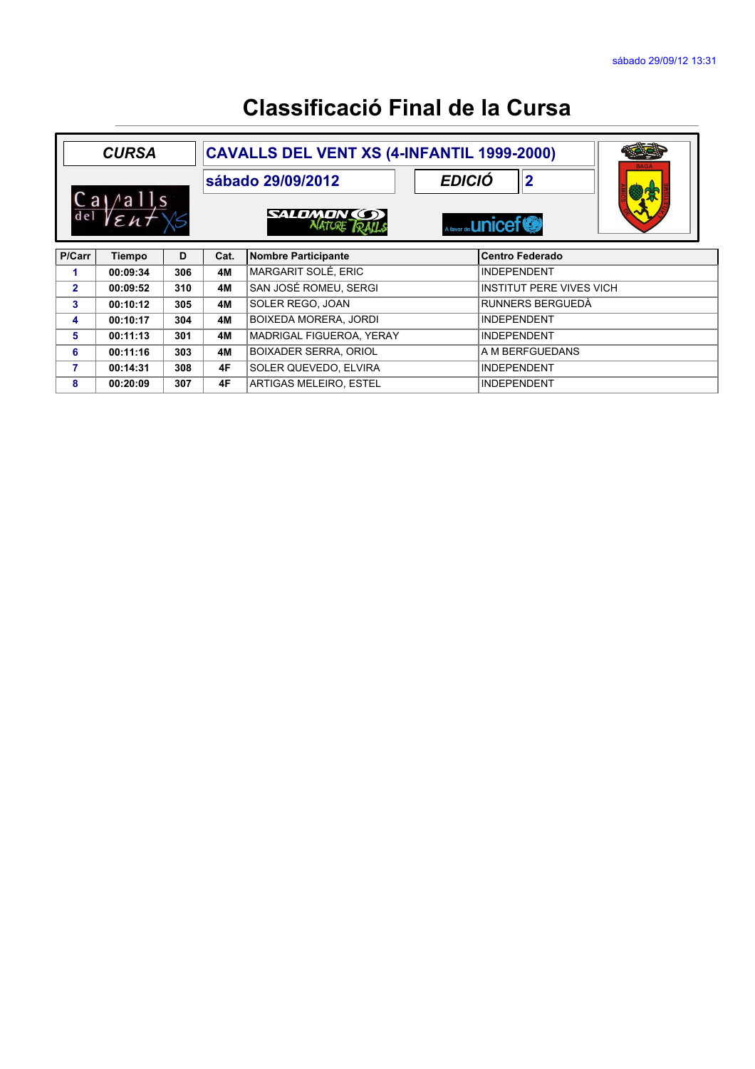| <b>CAVALLS DEL VENT XS (4-INFANTIL 1999-2000)</b><br><b>CURSA</b> |          |     |                   |                                     |               |                                 | <b>BAGA</b> |  |
|-------------------------------------------------------------------|----------|-----|-------------------|-------------------------------------|---------------|---------------------------------|-------------|--|
| $/$ alls<br>a<br>del<br>$\epsilon$ <sub>n</sub>                   |          |     | sábado 29/09/2012 |                                     | <b>EDICIÓ</b> | $\mathbf{2}$                    | ▒赏          |  |
|                                                                   |          |     |                   | <b>SALDMON (S)</b><br><b>NATURE</b> |               | A favor de <b>LINICEF®</b>      |             |  |
| P/Carr                                                            | Tiempo   | D   | Cat.              | Nombre Participante                 |               | l Centro Federado               |             |  |
| 1                                                                 | 00:09:34 | 306 | <b>4M</b>         | MARGARIT SOLÉ, ERIC                 |               | <b>INDEPENDENT</b>              |             |  |
| $\overline{2}$                                                    | 00:09:52 | 310 | 4M                | SAN JOSÉ ROMEU, SERGI               |               | <b>INSTITUT PERE VIVES VICH</b> |             |  |
| 3                                                                 | 00:10:12 | 305 | 4M                | SOLER REGO. JOAN                    |               | RUNNERS BERGUEDÀ                |             |  |
| 4                                                                 | 00:10:17 | 304 | 4M                | <b>BOIXEDA MORERA, JORDI</b>        |               | <b>INDEPENDENT</b>              |             |  |
| 5                                                                 | 00:11:13 | 301 | 4M                | MADRIGAL FIGUEROA, YERAY            |               | <b>INDEPENDENT</b>              |             |  |
| 6                                                                 | 00:11:16 | 303 | 4M                | <b>BOIXADER SERRA, ORIOL</b>        |               | A M BERFGUEDANS                 |             |  |
| 7                                                                 | 00:14:31 | 308 | 4F                | SOLER QUEVEDO, ELVIRA               |               | <b>INDEPENDENT</b>              |             |  |
| 8                                                                 | 00:20:09 | 307 | 4F                | <b>ARTIGAS MELEIRO. ESTEL</b>       |               | <b>INDEPENDENT</b>              |             |  |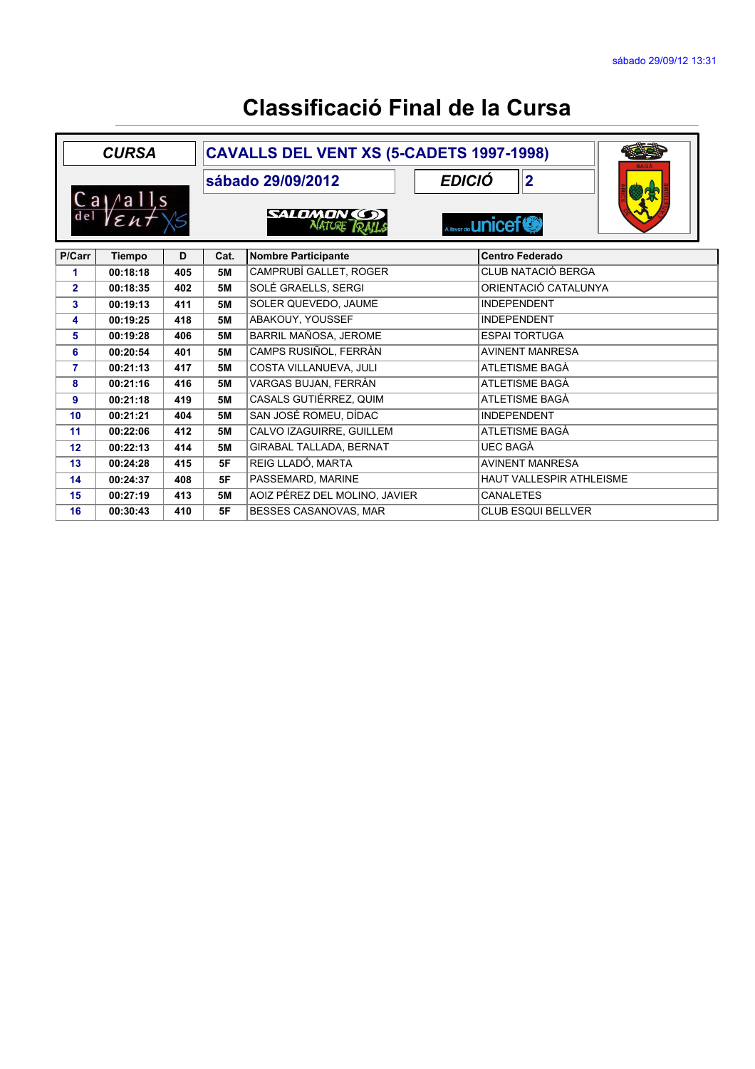| <b>CURSA</b>                    |          | CAVALLS DEL VENT XS (5-CADETS 1997-1998) |                   |                                     |                              |  |  |
|---------------------------------|----------|------------------------------------------|-------------------|-------------------------------------|------------------------------|--|--|
|                                 |          |                                          | sábado 29/09/2012 |                                     | <b>EDICIÓ</b><br>$ 2\rangle$ |  |  |
| $Ca$ / all s<br>de <sub>l</sub> |          |                                          |                   | <b>SALDMON</b> (S)<br><b>NATURE</b> | A favor de <b>LINICEF®</b>   |  |  |
| P/Carr                          | Tiempo   | D                                        | Cat.              | <b>Nombre Participante</b>          | <b>Centro Federado</b>       |  |  |
| 1                               | 00:18:18 | 405                                      | <b>5M</b>         | CAMPRUBÍ GALLET, ROGER              | <b>CLUB NATACIÓ BERGA</b>    |  |  |
| $\overline{2}$                  | 00:18:35 | 402                                      | <b>5M</b>         | SOLÉ GRAELLS, SERGI                 | ORIENTACIÓ CATALUNYA         |  |  |
| 3                               | 00:19:13 | 411                                      | <b>5M</b>         | SOLER QUEVEDO, JAUME                | <b>INDEPENDENT</b>           |  |  |
| 4                               | 00:19:25 | 418                                      | <b>5M</b>         | ABAKOUY, YOUSSEF                    | <b>INDEPENDENT</b>           |  |  |
| 5                               | 00:19:28 | 406                                      | <b>5M</b>         | BARRIL MAÑOSA, JEROME               | <b>ESPAI TORTUGA</b>         |  |  |
| 6                               | 00:20:54 | 401                                      | <b>5M</b>         | CAMPS RUSIÑOL, FERRÀN               | <b>AVINENT MANRESA</b>       |  |  |
| $\overline{7}$                  | 00:21:13 | 417                                      | <b>5M</b>         | COSTA VILLANUEVA, JULI              | ATLETISME BAGÀ               |  |  |
| 8                               | 00:21:16 | 416                                      | <b>5M</b>         | VARGAS BUJAN, FERRÀN                | ATLETISME BAGÀ               |  |  |
| 9                               | 00:21:18 | 419                                      | <b>5M</b>         | CASALS GUTIÉRREZ, QUIM              | ATLETISME BAGÀ               |  |  |
| 10                              | 00:21:21 | 404                                      | <b>5M</b>         | SAN JOSÉ ROMEU, DÍDAC               | <b>INDEPENDENT</b>           |  |  |
| 11                              | 00:22:06 | 412                                      | <b>5M</b>         | CALVO IZAGUIRRE, GUILLEM            | ATLETISME BAGÀ               |  |  |
| 12                              | 00:22:13 | 414                                      | <b>5M</b>         | <b>GIRABAL TALLADA, BERNAT</b>      | <b>UEC BAGÀ</b>              |  |  |
| 13                              | 00:24:28 | 415                                      | 5F                | REIG LLADÓ, MARTA                   | <b>AVINENT MANRESA</b>       |  |  |
| 14                              | 00:24:37 | 408                                      | 5F                | PASSEMARD, MARINE                   | HAUT VALLESPIR ATHLEISME     |  |  |
| 15                              | 00:27:19 | 413                                      | <b>5M</b>         | AOIZ PÉREZ DEL MOLINO, JAVIER       | <b>CANALETES</b>             |  |  |
| 16                              | 00:30:43 | 410                                      | 5F                | BESSES CASANOVAS, MAR               | <b>CLUB ESQUI BELLVER</b>    |  |  |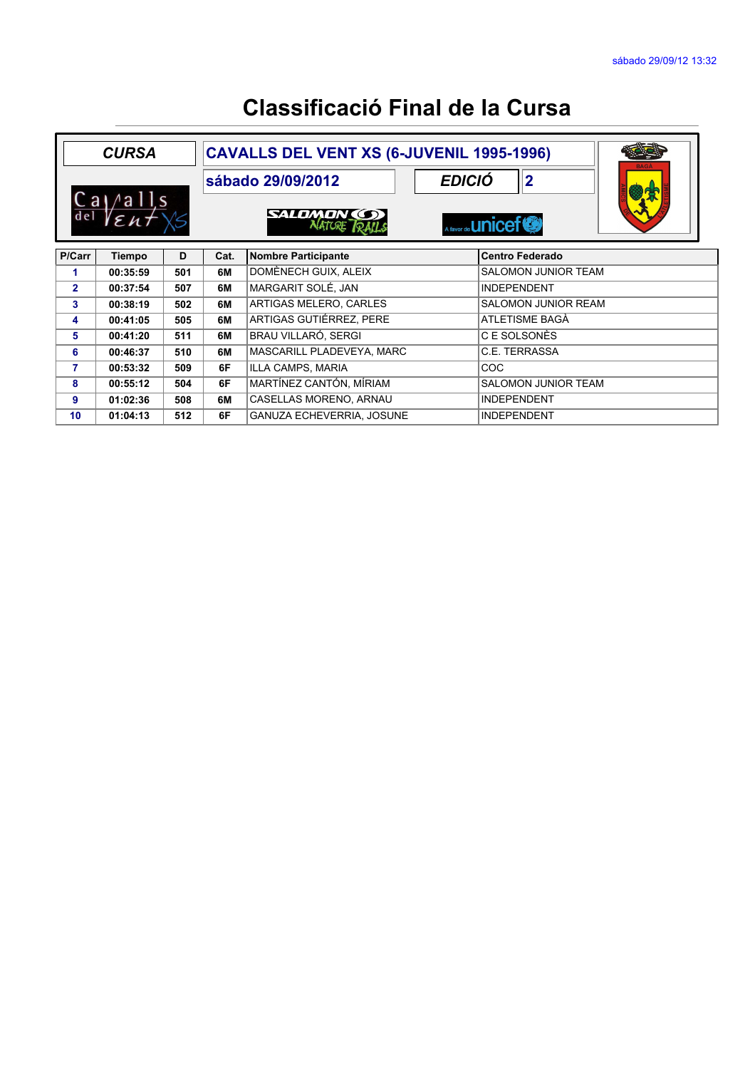| <b>CURSA</b>                              |          |     | <b>CAVALLS DEL VENT XS (6-JUVENIL 1995-1996)</b> |                                  |  |                            |  | <b>BAGA</b> |
|-------------------------------------------|----------|-----|--------------------------------------------------|----------------------------------|--|----------------------------|--|-------------|
|                                           |          |     | sábado 29/09/2012                                |                                  |  | <b>EDICIÓ</b><br> 2        |  | 發失          |
| $/$ alls<br>Ca <sub>1</sub><br>del<br>Eht |          |     |                                                  | SALDMON (S)<br><b>ALATIOF</b>    |  | A favor de <b>UNiCEF®</b>  |  |             |
| P/Carr                                    | Tiempo   | D   | Cat.                                             | <b>Nombre Participante</b>       |  | <b>Centro Federado</b>     |  |             |
| 1                                         | 00:35:59 | 501 | 6M                                               | DOMÈNECH GUIX, ALEIX             |  | <b>SALOMON JUNIOR TEAM</b> |  |             |
| $\overline{2}$                            | 00:37:54 | 507 | 6M                                               | MARGARIT SOLÉ, JAN               |  | <b>INDEPENDENT</b>         |  |             |
| 3                                         | 00:38:19 | 502 | 6M                                               | ARTIGAS MELERO, CARLES           |  | <b>SALOMON JUNIOR REAM</b> |  |             |
| 4                                         | 00:41:05 | 505 | 6M                                               | ARTIGAS GUTIÉRREZ, PERE          |  | ATLETISME BAGÀ             |  |             |
| 5                                         | 00:41:20 | 511 | 6M                                               | <b>BRAU VILLARÓ, SERGI</b>       |  | C E SOLSONÈS               |  |             |
| 6                                         | 00:46:37 | 510 | 6M                                               | MASCARILL PLADEVEYA, MARC        |  | C.E. TERRASSA              |  |             |
| 7                                         | 00:53:32 | 509 | 6F                                               | ILLA CAMPS, MARIA                |  | <b>COC</b>                 |  |             |
| 8                                         | 00:55:12 | 504 | 6F                                               | MARTÍNEZ CANTÓN, MÍRIAM          |  | SALOMON JUNIOR TEAM        |  |             |
| 9                                         | 01:02:36 | 508 | 6M                                               | CASELLAS MORENO, ARNAU           |  | <b>INDEPENDENT</b>         |  |             |
| 10 <sub>1</sub>                           | 01:04:13 | 512 | 6F                                               | <b>GANUZA ECHEVERRIA, JOSUNE</b> |  | <b>INDEPENDENT</b>         |  |             |